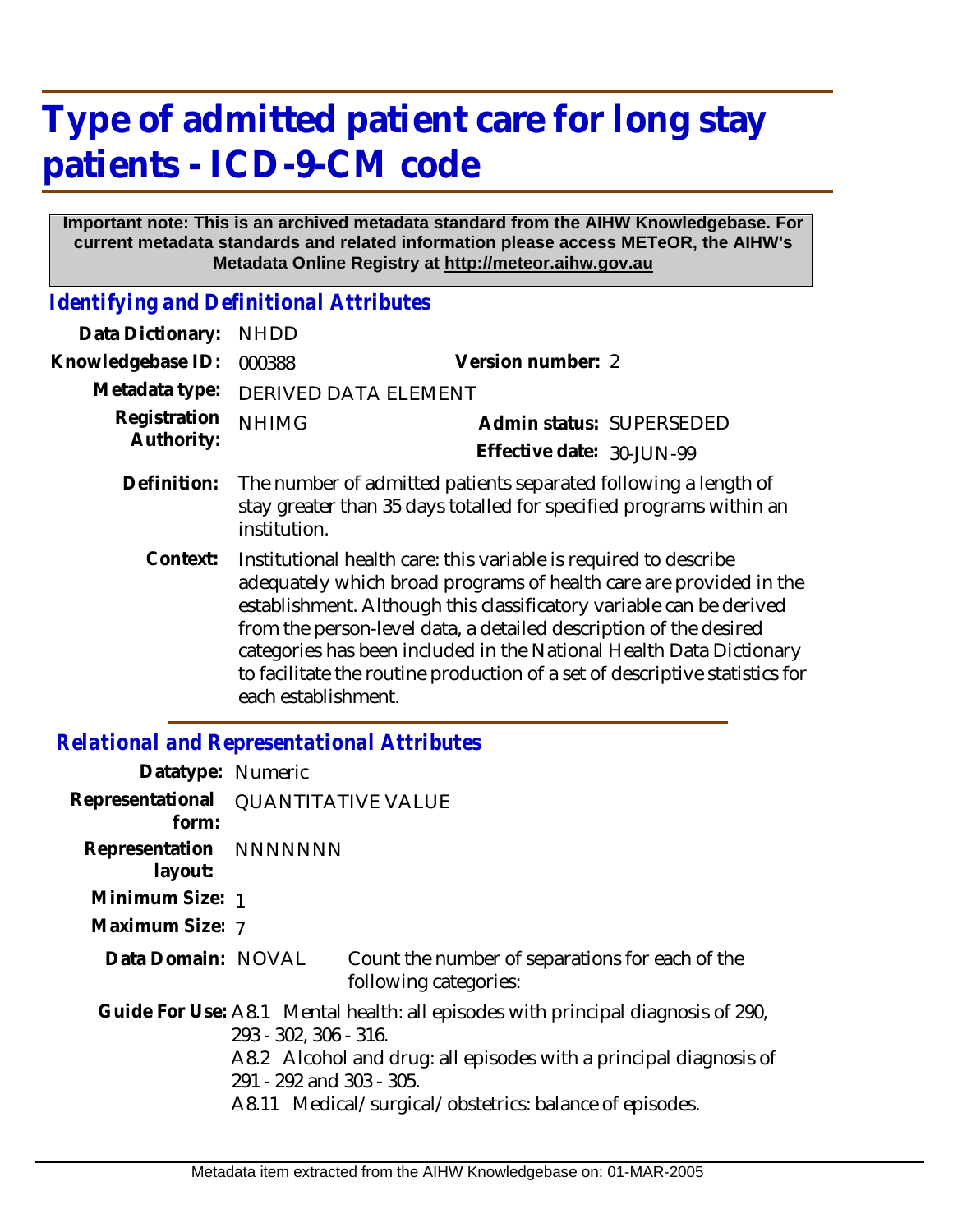## **Type of admitted patient care for long stay patients - ICD-9-CM code**

## **Important note: This is an archived metadata standard from the AIHW Knowledgebase. For current metadata standards and related information please access METeOR, the AIHW's Metadata Online Registry at http://meteor.aihw.gov.au**

*Identifying and Definitional Attributes*

| Data Dictionary:           | <b>NHDD</b>                 |                                                                                                                                                                                                                                                                                                                                                                                                                                          |
|----------------------------|-----------------------------|------------------------------------------------------------------------------------------------------------------------------------------------------------------------------------------------------------------------------------------------------------------------------------------------------------------------------------------------------------------------------------------------------------------------------------------|
| Knowledgebase ID:          | 000388                      | Version number: 2                                                                                                                                                                                                                                                                                                                                                                                                                        |
| Metadata type:             | <b>DERIVED DATA ELEMENT</b> |                                                                                                                                                                                                                                                                                                                                                                                                                                          |
| Registration<br>Authority: | <b>NHIMG</b>                | Admin status: SUPERSEDED                                                                                                                                                                                                                                                                                                                                                                                                                 |
|                            |                             | Effective date: 30-JUN-99                                                                                                                                                                                                                                                                                                                                                                                                                |
| Definition:                | institution.                | The number of admitted patients separated following a length of<br>stay greater than 35 days totalled for specified programs within an                                                                                                                                                                                                                                                                                                   |
| Context:                   | each establishment.         | Institutional health care: this variable is required to describe<br>adequately which broad programs of health care are provided in the<br>establishment. Although this classificatory variable can be derived<br>from the person-level data, a detailed description of the desired<br>categories has been included in the National Health Data Dictionary<br>to facilitate the routine production of a set of descriptive statistics for |

## *Relational and Representational Attributes*

| Datatype: Numeric                            |                                                   |                                                                                                                                                                                                                  |
|----------------------------------------------|---------------------------------------------------|------------------------------------------------------------------------------------------------------------------------------------------------------------------------------------------------------------------|
| Representational QUANTITATIVE VALUE<br>form: |                                                   |                                                                                                                                                                                                                  |
| Representation NNNNNNN<br>layout:            |                                                   |                                                                                                                                                                                                                  |
| Minimum Size: 1                              |                                                   |                                                                                                                                                                                                                  |
| Maximum Size: 7                              |                                                   |                                                                                                                                                                                                                  |
| Data Domain: NOVAL                           |                                                   | Count the number of separations for each of the<br>following categories:                                                                                                                                         |
|                                              | 293 - 302, 306 - 316.<br>291 - 292 and 303 - 305. | Guide For Use: A8.1 Mental health: all episodes with principal diagnosis of 290,<br>A8.2 Alcohol and drug: all episodes with a principal diagnosis of<br>A8.11 Medical/surgical/obstetrics: balance of episodes. |